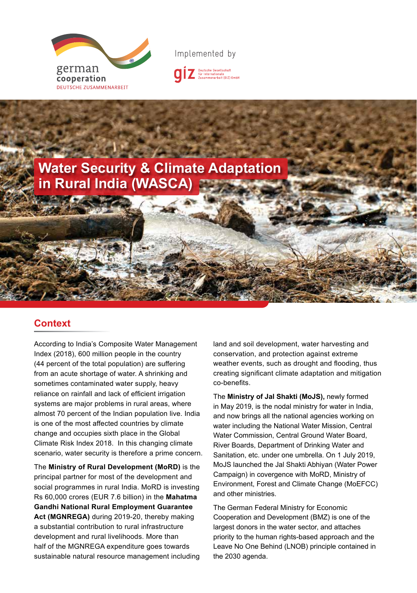

Implemented by





### **Context Context**

change and occupies sixth place in the Global Climate Risk Index 2018. In this changing climate scenario, water security is therefore a prime concern. According to India's Composite Water Management Index (2018), 600 million people in the country  $k = \frac{1}{2}$ (44 percent of the total population) are suffering from an acute shortage of water. A shrinking and sometimes contaminated water supply, heavy reliance on rainfall and lack of efficient irrigation systems are major problems in rural areas, where almost 70 percent of the Indian population live. India is one of the most affected countries by climate

**8 times, making the area vulnerable to climate disasters.** The **Ministry of Rural Development (MoRD)** is the social programmes in rural India. MoRD is investing Rs 60,000 crores (EUR 7.6 billion) in the **Mahatma** structures created in the ancient times. The tanks **Gandhi National Rural Employment Guarantee**  lahan rainma raia Employmont Gaarantoo Act (MGNREGA) during 2019-20, thereby making a substantial contribution to rural infrastructure development and rural livelihoods. More than half of the MGNREGA expenditure goes towards sustainable natural resource management including principal partner for most of the development and

land and soil development, water harvesting and conservation, and protection against extreme weather events, such as drought and flooding, thus creating significant climate adaptation and mitigation the years, resulting in lack of availability of water  $\alpha$  availability of water  $\alpha$ 

The Ministry of Jal Shakti (MoJS), newly formed in May 2019, is the nodal ministry for water in India, and now brings all the national agencies working on water including the National Water Mission, Central Water Commission, Central Ground Water Board, River Boards, Department of Drinking Water and Sanitation, etc. under one umbrella. On 1 July 2019, MoJS launched the Jal Shakti Abhiyan (Water Power Campaign) in covergence with MoRD, Ministry of **Implementation** and other ministries. Environment, Forest and Climate Change (MoEFCC)

Cooperation and Development (BMZ) is one of the largest donors in the water sector, and attaches priority to the human rights-based approach and the Leave No One Behind (LNOB) principle contained in the 2030 agenda. The around 2030 acres. The 2030 acres. The around 2000 acres. The around 2000 acres. The around 2000 acres. The around 2000 acres. The around 2000 acres. The around 2000 acres. The around 2000 acres. The a The German Federal Ministry for Economic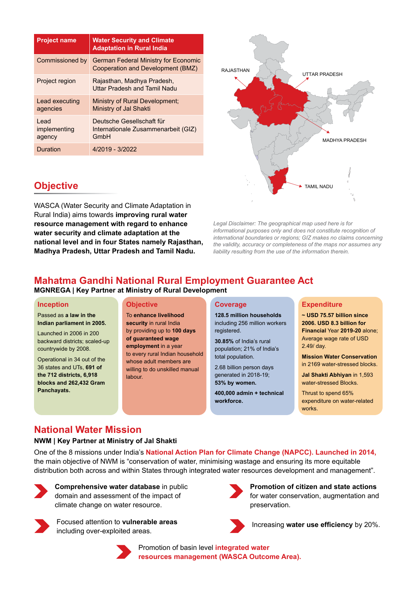| <b>Project name</b>             | <b>Water Security and Climate</b><br><b>Adaptation in Rural India</b>     |  |
|---------------------------------|---------------------------------------------------------------------------|--|
| Commissioned by                 | German Federal Ministry for Economic<br>Cooperation and Development (BMZ) |  |
| Project region                  | Rajasthan, Madhya Pradesh,<br>Uttar Pradesh and Tamil Nadu                |  |
| Lead executing<br>agencies      | Ministry of Rural Development;<br>Ministry of Jal Shakti                  |  |
| I ead<br>implementing<br>agency | Deutsche Gesellschaft für<br>Internationale Zusammenarbeit (GIZ)<br>GmbH  |  |
| Duration                        | 4/2019 - 3/2022                                                           |  |



*Legal Disclaimer: The geographical map used here is for informational purposes only and does not constitute recognition of international boundaries or regions; GIZ makes no claims concerning the validity, accuracy or completeness of the maps nor assumes any liability resulting from the use of the information therein.*

# **Objective**

WASCA (Water Security and Climate Adaptation in Rural India) aims towards **improving rural water resource management with regard to enhance water security and climate adaptation at the national level and in four States namely Rajasthan, Madhya Pradesh, Uttar Pradesh and Tamil Nadu.** 

## **Mahatma Gandhi National Rural Employment Guarantee Act**

**MGNREGA | Key Partner at Ministry of Rural Development**

#### **Inception**

Passed as **a law in the Indian parliament in 2005.**

Launched in 2006 in 200 backward districts; scaled-up countrywide by 2008.

Operational in 34 out of the 36 states and UTs, **691 of the 712 districts, 6,918 blocks and 262,432 Gram Panchayats.**

#### **Objective**

To **enhance livelihood security** in rural India by providing up to **100 days of guaranteed wage employment** in a year to every rural Indian household whose adult members are willing to do unskilled manual labour.

#### **Coverage**

**128.5 million households** including 256 million workers registered.

**30.85%** of India's rural population; 21% of India's total population.

2.68 billion person days generated in 2018-19; **53% by women.**

**400,000 admin + technical workforce.**

#### **Expenditure**

**~ USD 75.57 billion since 2006. USD 8.3 billion for Financial** Year **2019-20** alone; Average wage rate of USD 2.49/ day.

**Mission Water Conservation** in 2169 water-stressed blocks.

**Jal Shakti Abhiyan** in 1,593 water-stressed Blocks.

Thrust to spend 65% expenditure on water-related works.

### **National Water Mission**

#### **NWM | Key Partner at Ministry of Jal Shakti**

One of the 8 missions under India's **National Action Plan for Climate Change (NAPCC). Launched in 2014,** the main objective of NWM is "conservation of water, minimising wastage and ensuring its more equitable distribution both across and within States through integrated water resources development and management".



**Comprehensive water database** in public domain and assessment of the impact of climate change on water resource.



Focused attention to **vulnerable areas EXECUSE CONSERVING MANUS** Increasing water use efficiency by 20%. including over-exploited areas.



Promotion of basin level **integrated water resources management (WASCA Outcome Area).**



**Promotion of citizen and state actions**  for water conservation, augmentation and preservation.

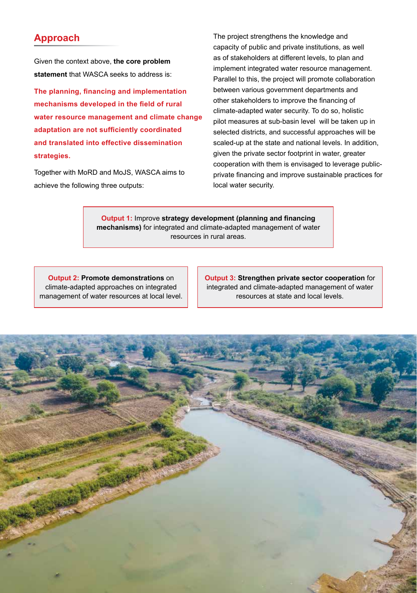### **Approach**

Given the context above, **the core problem statement** that WASCA seeks to address is:

**The planning, financing and implementation mechanisms developed in the field of rural water resource management and climate change adaptation are not sufficiently coordinated and translated into effective dissemination strategies.**

Together with MoRD and MoJS, WASCA aims to achieve the following three outputs:

The project strengthens the knowledge and capacity of public and private institutions, as well as of stakeholders at different levels, to plan and implement integrated water resource management. Parallel to this, the project will promote collaboration between various government departments and other stakeholders to improve the financing of climate-adapted water security. To do so, holistic pilot measures at sub-basin level will be taken up in selected districts, and successful approaches will be scaled-up at the state and national levels. In addition, given the private sector footprint in water, greater cooperation with them is envisaged to leverage publicprivate financing and improve sustainable practices for local water security.

**Output 1:** Improve **strategy development (planning and financing mechanisms)** for integrated and climate-adapted management of water resources in rural areas.

**Output 2: Promote demonstrations** on climate-adapted approaches on integrated management of water resources at local level. **Output 3: Strengthen private sector cooperation** for integrated and climate-adapted management of water resources at state and local levels.